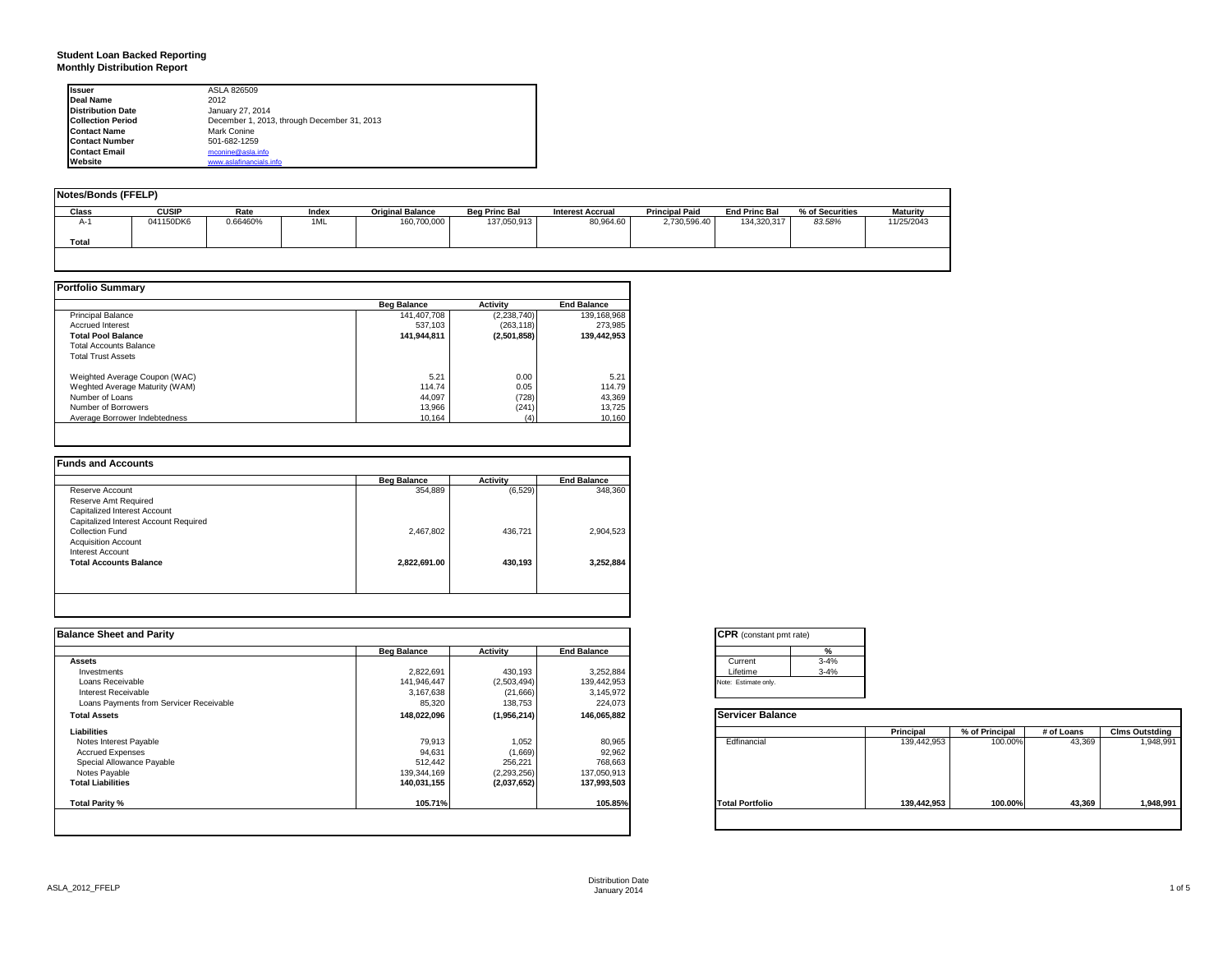### **Student Loan Backed Reporting Monthly Distribution Report**

| <b>Issuer</b>            | ASLA 826509                                 |
|--------------------------|---------------------------------------------|
| Deal Name                | 2012                                        |
| <b>Distribution Date</b> | January 27, 2014                            |
| <b>Collection Period</b> | December 1, 2013, through December 31, 2013 |
| <b>Contact Name</b>      | <b>Mark Conine</b>                          |
| <b>Contact Number</b>    | 501-682-1259                                |
| <b>Contact Email</b>     | mconine@asla.info                           |
| Website                  | www.aslafinancials.info                     |

| Notes/Bonds (FFELP) |              |          |       |                         |                      |                         |                       |                      |                 |                 |
|---------------------|--------------|----------|-------|-------------------------|----------------------|-------------------------|-----------------------|----------------------|-----------------|-----------------|
| Class               | <b>CUSIP</b> | Rate     | Index | <b>Original Balance</b> | <b>Beg Princ Bal</b> | <b>Interest Accrual</b> | <b>Principal Paid</b> | <b>End Princ Bal</b> | % of Securities | <b>Maturity</b> |
| A-1                 | 041150DK6    | 0.66460% | 1ML   | 160,700,000             | 137,050,913          | 80,964.60               | 2,730,596.40          | 134,320,317          | 83.58%          | 11/25/2043      |
| <b>Total</b>        |              |          |       |                         |                      |                         |                       |                      |                 |                 |
|                     |              |          |       |                         |                      |                         |                       |                      |                 |                 |

|                                | <b>Beg Balance</b> | <b>Activity</b> | <b>End Balance</b> |
|--------------------------------|--------------------|-----------------|--------------------|
| <b>Principal Balance</b>       | 141.407.708        | (2, 238, 740)   | 139,168,968        |
| <b>Accrued Interest</b>        | 537.103            | (263.118)       | 273.985            |
| <b>Total Pool Balance</b>      | 141.944.811        | (2,501,858)     | 139.442.953        |
| <b>Total Accounts Balance</b>  |                    |                 |                    |
| <b>Total Trust Assets</b>      |                    |                 |                    |
| Weighted Average Coupon (WAC)  | 5.21               | 0.00            | 5.21               |
| Weghted Average Maturity (WAM) | 114.74             | 0.05            | 114.79             |
| Number of Loans                | 44.097             | (728)           | 43,369             |
| Number of Borrowers            | 13.966             | (241)           | 13,725             |
| Average Borrower Indebtedness  | 10.164             | (4)             | 10,160             |

| 354,889      |         |           |
|--------------|---------|-----------|
|              | (6,529) | 348,360   |
|              |         |           |
|              |         |           |
|              |         |           |
| 2,467,802    | 436,721 | 2,904,523 |
|              |         |           |
|              |         |           |
| 2,822,691.00 | 430,193 | 3,252,884 |
|              |         |           |
|              |         |           |
|              |         |           |

| <b>Balance Sheet and Parity</b>         |                    |               |                    | <b>CPR</b> (constant pmt rate) |             |                |            |                       |
|-----------------------------------------|--------------------|---------------|--------------------|--------------------------------|-------------|----------------|------------|-----------------------|
|                                         | <b>Beg Balance</b> | Activity      | <b>End Balance</b> |                                |             |                |            |                       |
| <b>Assets</b>                           |                    |               |                    | $3 - 4%$<br>Current            |             |                |            |                       |
| Investments                             | 2,822,691          | 430,193       | 3,252,884          | Lifetime<br>$3 - 4%$           |             |                |            |                       |
| Loans Receivable                        | 141,946,447        | (2,503,494)   | 139,442,953        | Note: Estimate only.           |             |                |            |                       |
| Interest Receivable                     | 3,167,638          | (21,666)      | 3,145,972          |                                |             |                |            |                       |
| Loans Payments from Servicer Receivable | 85,320             | 138,753       | 224,073            |                                |             |                |            |                       |
| <b>Total Assets</b>                     | 148,022,096        | (1,956,214)   | 146,065,882        | <b>Servicer Balance</b>        |             |                |            |                       |
| Liabilities                             |                    |               |                    |                                | Principal   | % of Principal | # of Loans | <b>Clms Outstding</b> |
| Notes Interest Payable                  | 79,913             | 1,052         | 80,965             | Edfinancial                    | 139,442,953 | 100.00%        | 43,369     | 1,948,991             |
| <b>Accrued Expenses</b>                 | 94,631             | (1,669)       | 92,962             |                                |             |                |            |                       |
| Special Allowance Payable               | 512,442            | 256,221       | 768,663            |                                |             |                |            |                       |
| Notes Payable                           | 139,344,169        | (2, 293, 256) | 137,050,913        |                                |             |                |            |                       |
| <b>Total Liabilities</b>                | 140,031,155        | (2,037,652)   | 137,993,503        |                                |             |                |            |                       |
| Total Parity %                          | 105.71%            |               | 105.85%            | <b>Total Portfolio</b>         | 139.442.953 | 100.00%        | 43,369     | 1,948,991             |
|                                         |                    |               |                    |                                |             |                |            |                       |
|                                         |                    |               |                    |                                |             |                |            |                       |

| CPR (constant pmt rate) |          |
|-------------------------|----------|
|                         | %        |
| Current                 | $3 - 4%$ |
| Lifetime                | $3 - 4%$ |
| lote: Estimate only.    |          |

|                        | Principal   | % of Principal | # of Loans | <b>Clms Outstding</b> |
|------------------------|-------------|----------------|------------|-----------------------|
| Edfinancial            | 139,442,953 | 100.00%        | 43,369     | 1,948,991             |
| <b>Total Portfolio</b> | 139,442,953 | 100.00%        | 43.369     | 1,948,991             |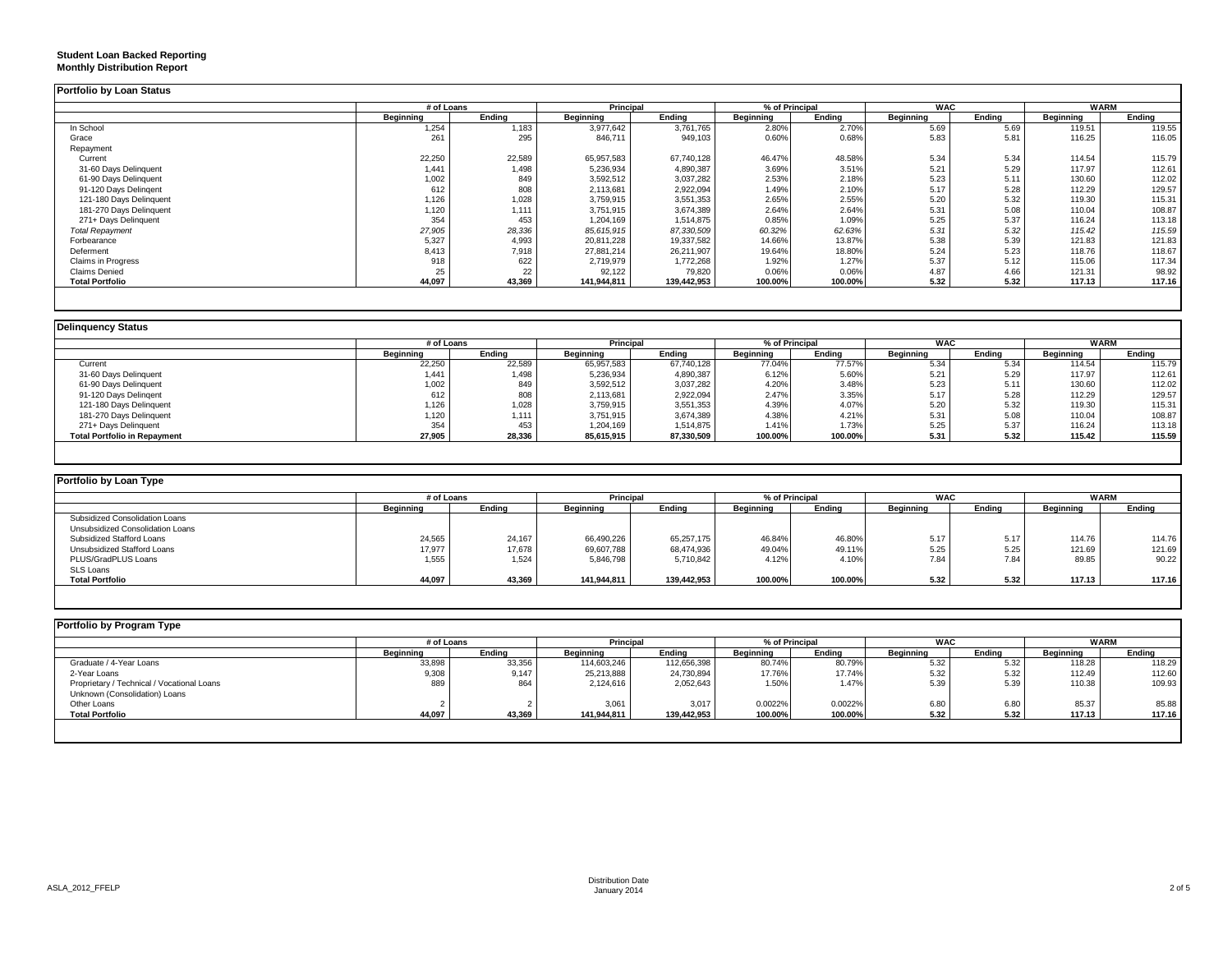#### **Student Loan Backed Reporting Monthly Distribution Report**

|                           | # of Loans |        |             | Principal   |           | % of Principal |           | <b>WAC</b> |           | <b>WARM</b> |
|---------------------------|------------|--------|-------------|-------------|-----------|----------------|-----------|------------|-----------|-------------|
|                           | Beginning  | Ending | Beainnina   | Endina      | Beginning | Endina         | Beginning | Endina     | Beainnina | Endina      |
| In School                 | 1.254      | 1,183  | 3,977,642   | 3,761,765   | 2.80%     | 2.70%          | 5.69      | 5.69       | 119.51    | 119.55      |
| Grace                     | 261        | 295    | 846,711     | 949,103     | 0.60%     | 0.68%          | 5.83      | 5.81       | 116.25    | 116.05      |
| Repayment                 |            |        |             |             |           |                |           |            |           |             |
| Current                   | 22,250     | 22,589 | 65,957,583  | 67,740,128  | 46.47%    | 48.58%         | 5.34      | 5.34       | 114.54    | 115.79      |
| 31-60 Days Delinquent     | 1,441      | 1,498  | 5,236,934   | 4,890,387   | 3.69%     | 3.51%          | 5.21      | 5.29       | 117.97    | 112.61      |
| 61-90 Days Delinquent     | 1,002      | 849    | 3,592,512   | 3,037,282   | 2.53%     | 2.18%          | 5.23      | 5.11       | 130.60    | 112.02      |
| 91-120 Days Delingent     | 612        | 808    | 2,113,681   | 2,922,094   | 1.49%     | 2.10%          | 5.17      | 5.28       | 112.29    | 129.57      |
| 121-180 Days Delinquent   | 1,126      | 1,028  | 3,759,915   | 3,551,353   | 2.65%     | 2.55%          | 5.20      | 5.32       | 119.30    | 115.31      |
| 181-270 Days Delinquent   | 1,120      | 1,111  | 3,751,915   | 3,674,389   | 2.64%     | 2.64%          | 5.31      | 5.08       | 110.04    | 108.87      |
| 271+ Days Delinquent      | 354        | 453    | 1,204,169   | 1,514,875   | 0.85%     | 1.09%          | 5.25      | 5.37       | 116.24    | 113.18      |
| <b>Total Repayment</b>    | 27,905     | 28,336 | 85,615,915  | 87,330,509  | 60.32%    | 62.63%         | 5.31      | 5.32       | 115.42    | 115.59      |
| Forbearance               | 5,327      | 4,993  | 20.811.228  | 19,337,582  | 14.66%    | 13.87%         | 5.38      | 5.39       | 121.83    | 121.83      |
| Deferment                 | 8,413      | 7,918  | 27,881,214  | 26,211,907  | 19.64%    | 18.80%         | 5.24      | 5.23       | 118.76    | 118.67      |
| <b>Claims in Progress</b> | 918        | 622    | 2,719,979   | 1,772,268   | 1.92%     | 1.27%          | 5.37      | 5.12       | 115.06    | 117.34      |
| <b>Claims Denied</b>      | 25         | 22     | 92,122      | 79,820      | 0.06%     | 0.06%          | 4.87      | 4.66       | 121.31    | 98.92       |
| <b>Total Portfolio</b>    | 44,097     | 43,369 | 141,944,811 | 139,442,953 | 100.00%   | 100.00%        | 5.32      | 5.32       | 117.13    | 117.16      |

|                                     |           | # of Loans |            | <b>Principal</b> |           | % of Principal |           |        | <b>WARM</b> |        |
|-------------------------------------|-----------|------------|------------|------------------|-----------|----------------|-----------|--------|-------------|--------|
|                                     | Beainnina | Endina     | Beainnina  | Endina           | Beainnina | Endina         | Beainnina | Endina | Beginning   | Endina |
| Current                             | 22,250    | 22,589     | 65,957,583 | 67,740,128       | 77.04%    | 77.57%         | 5.34      | 5.34   | 114.54      | 115.79 |
| 31-60 Days Delinquent               | 1.441     | 1,498      | 5,236,934  | 4,890,387        | 6.12%     | 5.60%          | 5.21      | 5.29   | 117.97      | 112.61 |
| 61-90 Days Delinquent               | 1,002     | 849        | 3,592,512  | 3,037,282        | 4.20%     | 3.48%          | 5.23      | 5.11   | 130.60      | 112.02 |
| 91-120 Days Delingent               | 612       | 808        | 2,113,681  | 2,922,094        | 2.47%     | 3.35%          | 5.17      | 5.28   | 112.29      | 129.57 |
| 121-180 Days Delinquent             | 1,126     | 1,028      | 3,759,915  | 3,551,353        | 4.39%     | 4.07%          | 5.20      | 5.32   | 119.30      | 115.31 |
| 181-270 Days Delinquent             | 1,120     | 1,111      | 3,751,915  | 3,674,389        | 4.38%     | 4.21%          | 5.31      | 5.08   | 110.04      | 108.87 |
| 271+ Days Delinquent                | 354       | 453        | 1,204,169  | 1,514,875        | 1.41%     | 1.73%          | 5.25      | 5.37   | 116.24      | 113.18 |
| <b>Total Portfolio in Repayment</b> | 27,905    | 28,336     | 85,615,915 | 87,330,509       | 100.00%   | 100.00%        | 5.31      | 5.32   | 115.42      | 115.59 |

| Portfolio by Loan Type           |            |        |                  |             |                |         |                  |        |             |        |
|----------------------------------|------------|--------|------------------|-------------|----------------|---------|------------------|--------|-------------|--------|
|                                  | # of Loans |        | <b>Principal</b> |             | % of Principal |         | <b>WAC</b>       |        | <b>WARM</b> |        |
|                                  | Beginning  | Ending | Beginning        | Endina      | Beainnina      | Ending  | <b>Beginning</b> | Ending | Beginning   | Ending |
| Subsidized Consolidation Loans   |            |        |                  |             |                |         |                  |        |             |        |
| Unsubsidized Consolidation Loans |            |        |                  |             |                |         |                  |        |             |        |
| Subsidized Stafford Loans        | 24,565     | 24,167 | 66,490,226       | 65,257,175  | 46.84%         | 46.80%  | 5.17             | 5.17   | 114.76      | 114.76 |
| Unsubsidized Stafford Loans      | 17,977     | 17,678 | 69,607,788       | 68,474,936  | 49.04%         | 49.11%  | 5.25             | 5.25   | 121.69      | 121.69 |
| PLUS/GradPLUS Loans              | 1,555      | 1,524  | 5,846,798        | 5,710,842   | 4.12%          | 4.10%   | 7.84             | 7.84   | 89.85       | 90.22  |
| <b>SLS Loans</b>                 |            |        |                  |             |                |         |                  |        |             |        |
| <b>Total Portfolio</b>           | 44,097     | 43,369 | 141.944.811      | 139.442.953 | 100.00%        | 100.00% | 5.32             | 5.32   | 117.13      | 117.16 |

| Portfolio by Program Type                  |                  |        |                  |             |                  |         |                  |        |             |        |
|--------------------------------------------|------------------|--------|------------------|-------------|------------------|---------|------------------|--------|-------------|--------|
|                                            | # of Loans       |        | <b>Principal</b> |             | % of Principal   |         | <b>WAC</b>       |        | <b>WARM</b> |        |
|                                            | <b>Beginning</b> | Ending | Beginning        | Endina      | <b>Beginning</b> | Endina  | <b>Beginning</b> | Endina | Beginning   | Ending |
| Graduate / 4-Year Loans                    | 33,898           | 33,356 | 114,603,246      | 112,656,398 | 80.74%           | 80.79%  | 5.32             | 5.32   | 118.28      | 118.29 |
| 2-Year Loans                               | 9,308            | 9,147  | 25,213,888       | 24,730,894  | 17.76%           | 17.74%  | 5.32             | 5.32   | 112.49      | 112.60 |
| Proprietary / Technical / Vocational Loans | 889              | 864    | 2,124,616        | 2,052,643   | 1.50%            | 1.47%   | 5.39             | 5.39   | 110.38      | 109.93 |
| Unknown (Consolidation) Loans              |                  |        |                  |             |                  |         |                  |        |             |        |
| Other Loans                                |                  |        | 3,061            | 3,017       | 0.0022%          | 0.0022% | 6.80             | 6.80   | 85.37       | 85.88  |
| <b>Total Portfolio</b>                     | 44,097           | 43,369 | 141,944,811      | 139,442,953 | 100.00%          | 100.00% | 5.32             | 5.32   | 117.13      | 117.16 |
|                                            |                  |        |                  |             |                  |         |                  |        |             |        |
|                                            |                  |        |                  |             |                  |         |                  |        |             |        |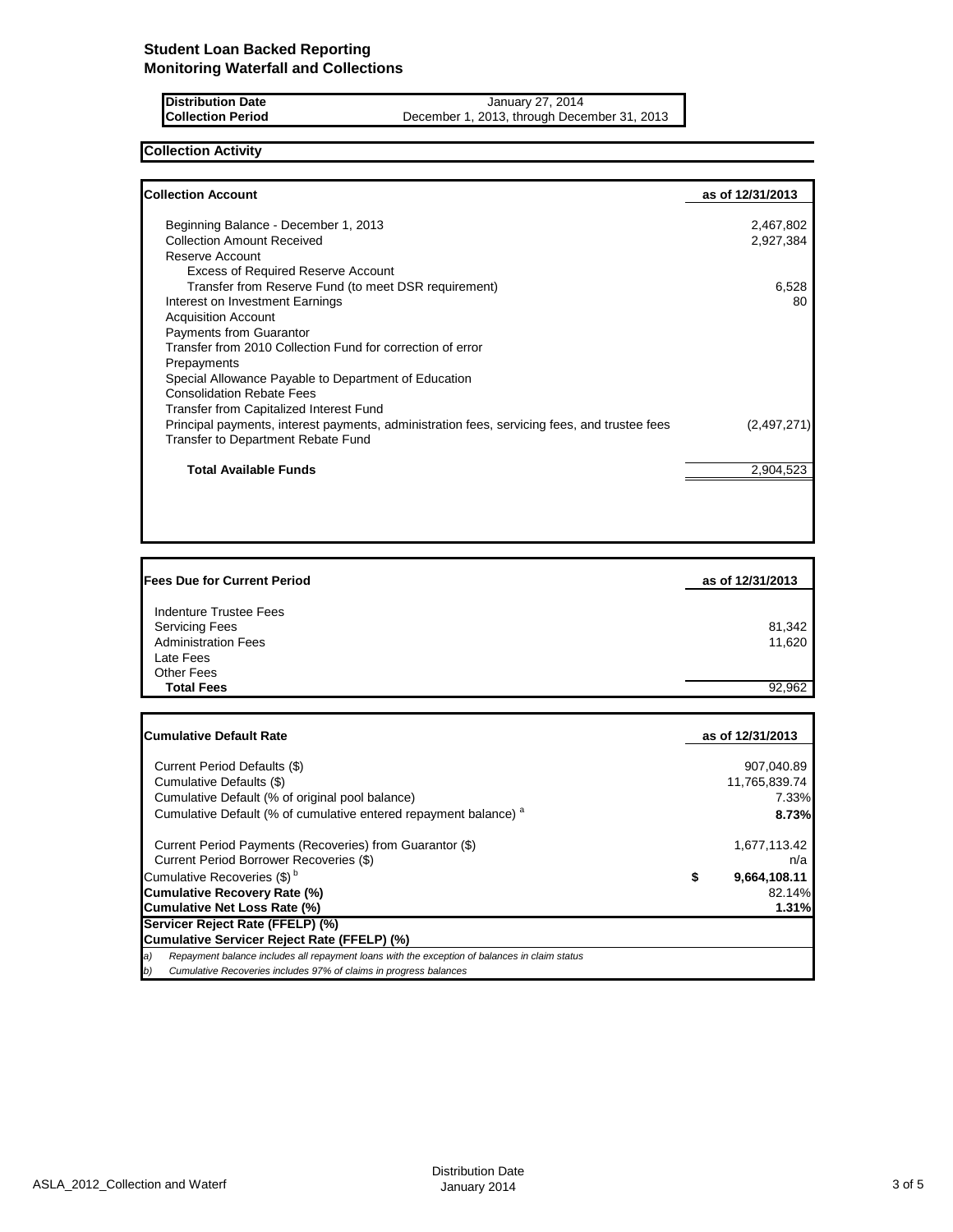## **Student Loan Backed Reporting Monitoring Waterfall and Collections**

| <b>Distribution Date</b> |
|--------------------------|
| <b>Collection Period</b> |

**January 27, 2014** December 1, 2013, through December 31, 2013

**Collection Activity**

| <b>Collection Account</b>                                                                    | as of 12/31/2013 |
|----------------------------------------------------------------------------------------------|------------------|
| Beginning Balance - December 1, 2013                                                         | 2,467,802        |
| <b>Collection Amount Received</b>                                                            | 2,927,384        |
| Reserve Account                                                                              |                  |
| <b>Excess of Required Reserve Account</b>                                                    |                  |
| Transfer from Reserve Fund (to meet DSR requirement)                                         | 6,528            |
| Interest on Investment Earnings                                                              | 80               |
| <b>Acquisition Account</b>                                                                   |                  |
| Payments from Guarantor                                                                      |                  |
| Transfer from 2010 Collection Fund for correction of error                                   |                  |
| Prepayments                                                                                  |                  |
| Special Allowance Payable to Department of Education                                         |                  |
| <b>Consolidation Rebate Fees</b>                                                             |                  |
| Transfer from Capitalized Interest Fund                                                      |                  |
| Principal payments, interest payments, administration fees, servicing fees, and trustee fees | (2,497,271)      |
| <b>Transfer to Department Rebate Fund</b>                                                    |                  |
| Total Available Funds                                                                        | 2,904,523        |

| <b>Fees Due for Current Period</b> | as of 12/31/2013 |
|------------------------------------|------------------|
| Indenture Trustee Fees             |                  |
| <b>Servicing Fees</b>              | 81,342           |
| <b>Administration Fees</b>         | 11,620           |
| Late Fees                          |                  |
| Other Fees                         |                  |
| <b>Total Fees</b>                  | 92.962           |

| Cumulative Default Rate                                                                             | as of 12/31/2013 |
|-----------------------------------------------------------------------------------------------------|------------------|
| Current Period Defaults (\$)                                                                        | 907,040.89       |
| Cumulative Defaults (\$)                                                                            | 11,765,839.74    |
| Cumulative Default (% of original pool balance)                                                     | 7.33%            |
| Cumulative Default (% of cumulative entered repayment balance) <sup>a</sup>                         | 8.73%            |
| Current Period Payments (Recoveries) from Guarantor (\$)                                            | 1,677,113.42     |
| Current Period Borrower Recoveries (\$)                                                             | n/a              |
| Cumulative Recoveries (\$) <sup>b</sup>                                                             | 9,664,108.11     |
| Cumulative Recovery Rate (%)                                                                        | 82.14%           |
| Cumulative Net Loss Rate (%)                                                                        | 1.31%            |
| Servicer Reject Rate (FFELP) (%)                                                                    |                  |
| Cumulative Servicer Reject Rate (FFELP) (%)                                                         |                  |
| Repayment balance includes all repayment loans with the exception of balances in claim status<br>a) |                  |
| b)<br>Cumulative Recoveries includes 97% of claims in progress balances                             |                  |

r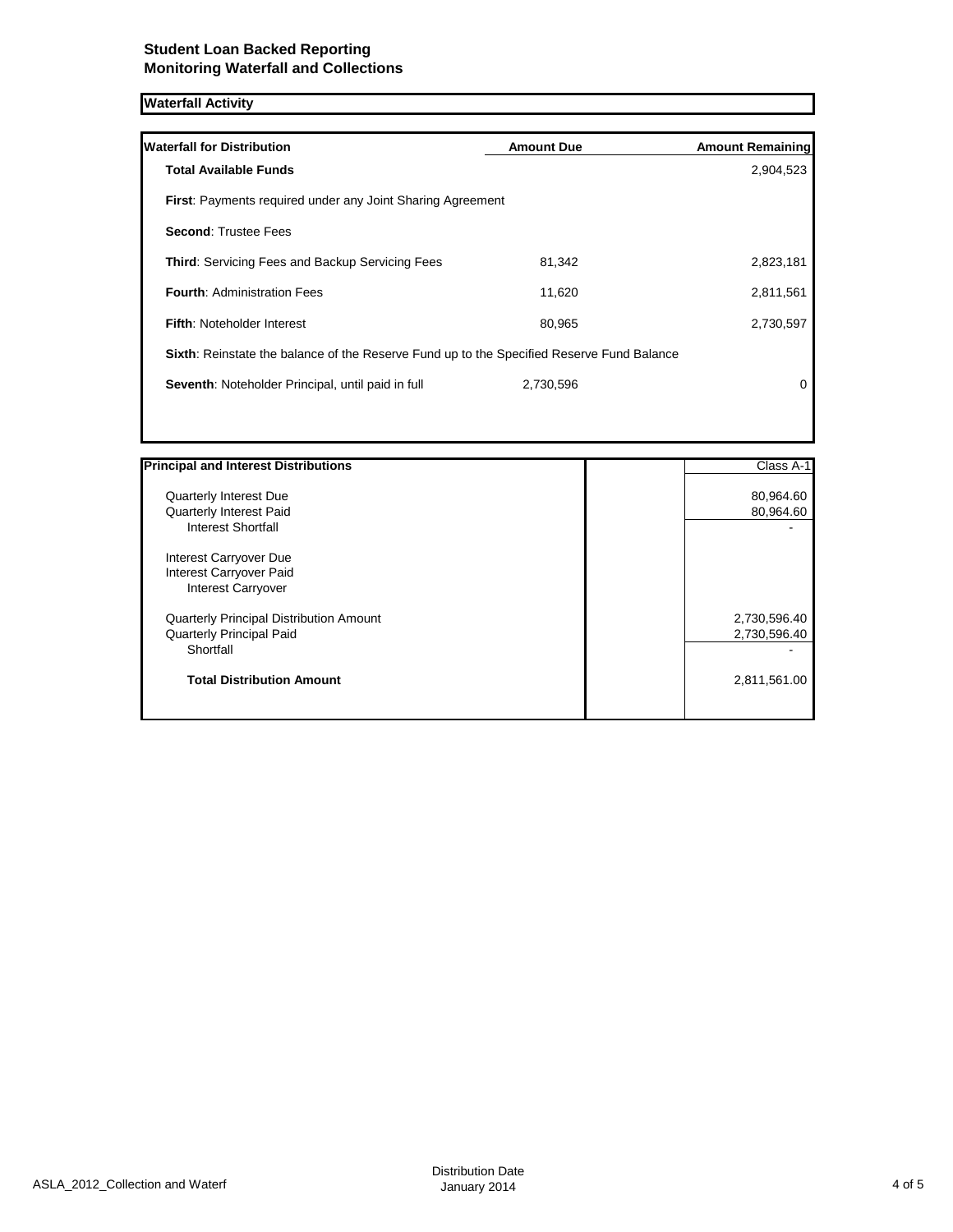## **Student Loan Backed Reporting Monitoring Waterfall and Collections**

# **Waterfall Activity**

| <b>Waterfall for Distribution</b>                                                         | <b>Amount Due</b> | <b>Amount Remaining</b> |
|-------------------------------------------------------------------------------------------|-------------------|-------------------------|
| <b>Total Available Funds</b>                                                              |                   | 2,904,523               |
| <b>First:</b> Payments required under any Joint Sharing Agreement                         |                   |                         |
| <b>Second: Trustee Fees</b>                                                               |                   |                         |
| <b>Third:</b> Servicing Fees and Backup Servicing Fees                                    | 81,342            | 2,823,181               |
| <b>Fourth: Administration Fees</b>                                                        | 11,620            | 2,811,561               |
| <b>Fifth: Noteholder Interest</b>                                                         | 80,965            | 2,730,597               |
| Sixth: Reinstate the balance of the Reserve Fund up to the Specified Reserve Fund Balance |                   |                         |
| Seventh: Noteholder Principal, until paid in full                                         | 2,730,596         | 0                       |
|                                                                                           |                   |                         |

| <b>Principal and Interest Distributions</b>    | Class A-1    |
|------------------------------------------------|--------------|
| Quarterly Interest Due                         | 80,964.60    |
| Quarterly Interest Paid                        | 80,964.60    |
| Interest Shortfall                             |              |
| Interest Carryover Due                         |              |
| Interest Carryover Paid                        |              |
| <b>Interest Carryover</b>                      |              |
| <b>Quarterly Principal Distribution Amount</b> | 2,730,596.40 |
| Quarterly Principal Paid                       | 2,730,596.40 |
| Shortfall                                      |              |
| <b>Total Distribution Amount</b>               | 2,811,561.00 |
|                                                |              |